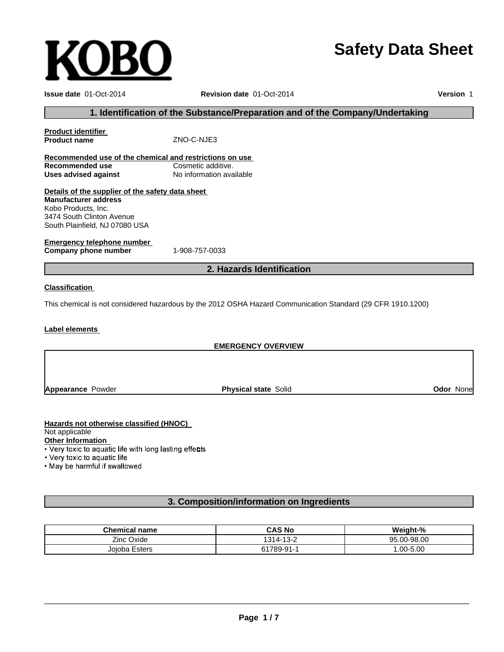# **Safety Data Sheet**

| <b>Issue date 01-Oct-2014</b>                                                                                                                                         | Revision date 01-Oct-2014                                                                                   | Version 1 |
|-----------------------------------------------------------------------------------------------------------------------------------------------------------------------|-------------------------------------------------------------------------------------------------------------|-----------|
|                                                                                                                                                                       | 1. Identification of the Substance/Preparation and of the Company/Undertaking                               |           |
| <b>Product identifier</b><br><b>Product name</b>                                                                                                                      | ZNO-C-NJE3                                                                                                  |           |
| Recommended use of the chemical and restrictions on use<br><b>Recommended use</b><br><b>Uses advised against</b>                                                      | Cosmetic additive.<br>No information available                                                              |           |
| Details of the supplier of the safety data sheet<br><b>Manufacturer address</b><br>Kobo Products, Inc.<br>3474 South Clinton Avenue<br>South Plainfield, NJ 07080 USA |                                                                                                             |           |
| Emergency telephone number<br>Company phone number                                                                                                                    | 1-908-757-0033                                                                                              |           |
| 2. Hazards Identification                                                                                                                                             |                                                                                                             |           |
| <b>Classification</b>                                                                                                                                                 | This chemical is not considered hazardous by the 2012 OSHA Hazard Communication Standard (29 CFR 1910.1200) |           |
| Label elements                                                                                                                                                        |                                                                                                             |           |
| <b>EMERGENCY OVERVIEW</b>                                                                                                                                             |                                                                                                             |           |
|                                                                                                                                                                       |                                                                                                             |           |

**Appearance** Powder

**Physical state** Solid **Odor** None

# **Hazards not otherwise classified (HNOC)**

**KOBO** 

Not applicable

Other Information<br>• Very toxic to aquatic life with long lasting effects

• Very toxic to aquatic life

. May be harmful if swallowed

# **3. Composition/information on Ingredients**

| <b>Chemical name</b> | <b>CAS No</b> | Weight-%     |
|----------------------|---------------|--------------|
| Zinc Oxide           | 1314-13-2     | 95.00-98.00  |
| Joioba Esters        | 61789-91-1    | $.00 - 5.00$ |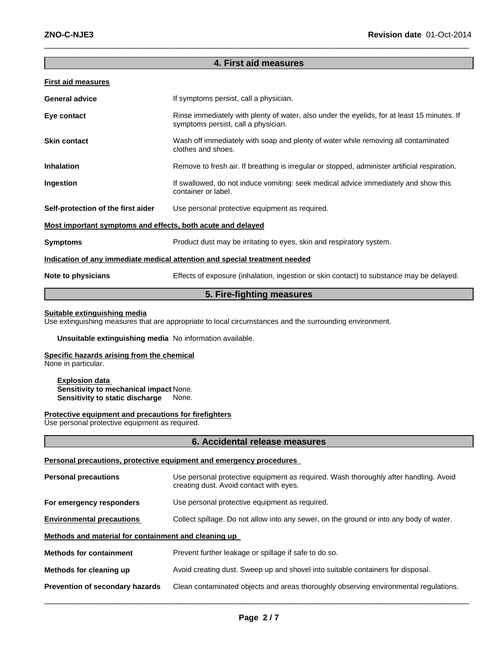# **4. First aid measures**

 $\_$  , and the set of the set of the set of the set of the set of the set of the set of the set of the set of the set of the set of the set of the set of the set of the set of the set of the set of the set of the set of th

# **First aid measures**

| <b>General advice</b>                                       | If symptoms persist, call a physician.                                                                                             |  |
|-------------------------------------------------------------|------------------------------------------------------------------------------------------------------------------------------------|--|
| Eye contact                                                 | Rinse immediately with plenty of water, also under the eyelids, for at least 15 minutes. If<br>symptoms persist, call a physician. |  |
| <b>Skin contact</b>                                         | Wash off immediately with soap and plenty of water while removing all contaminated<br>clothes and shoes.                           |  |
| <b>Inhalation</b>                                           | Remove to fresh air. If breathing is irregular or stopped, administer artificial respiration.                                      |  |
| Ingestion                                                   | If swallowed, do not induce vomiting: seek medical advice immediately and show this<br>container or label.                         |  |
| Self-protection of the first aider                          | Use personal protective equipment as required.                                                                                     |  |
| Most important symptoms and effects, both acute and delayed |                                                                                                                                    |  |
| <b>Symptoms</b>                                             | Product dust may be irritating to eyes, skin and respiratory system.                                                               |  |
|                                                             | Indication of any immediate medical attention and special treatment needed                                                         |  |
| Note to physicians                                          | Effects of exposure (inhalation, ingestion or skin contact) to substance may be delayed.                                           |  |

# **5. Fire-fighting measures**

# **Suitable extinguishing media**

Use extinguishing measures that are appropriate to local circumstances and the surrounding environment.

# **Unsuitable extinguishing media** No information available.

# **Specific hazards arising from the chemical**

None in particular.

**Explosion data Sensitivity to mechanical impact** None. **Sensitivity to static discharge** None.

#### **Protective equipment and precautions for firefighters**

Use personal protective equipment as required.

#### **6. Accidental release measures**

# **Personal precautions, protective equipment and emergency procedures**

| <b>Personal precautions</b>                          | Use personal protective equipment as required. Wash thoroughly after handling. Avoid<br>creating dust. Avoid contact with eyes. |  |
|------------------------------------------------------|---------------------------------------------------------------------------------------------------------------------------------|--|
| For emergency responders                             | Use personal protective equipment as required.                                                                                  |  |
| <b>Environmental precautions</b>                     | Collect spillage. Do not allow into any sewer, on the ground or into any body of water.                                         |  |
| Methods and material for containment and cleaning up |                                                                                                                                 |  |
| <b>Methods for containment</b>                       | Prevent further leakage or spillage if safe to do so.                                                                           |  |
| Methods for cleaning up                              | Avoid creating dust. Sweep up and shovel into suitable containers for disposal.                                                 |  |
| Prevention of secondary hazards                      | Clean contaminated objects and areas thoroughly observing environmental regulations.                                            |  |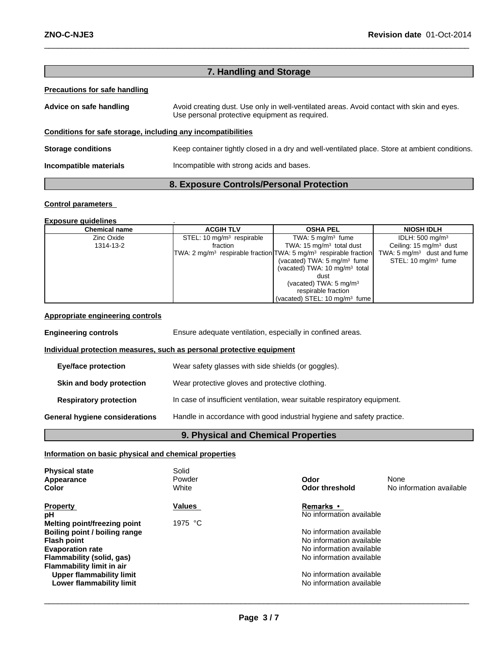| 7. Handling and Storage                                      |                                                                                                                                             |  |
|--------------------------------------------------------------|---------------------------------------------------------------------------------------------------------------------------------------------|--|
| <b>Precautions for safe handling</b>                         |                                                                                                                                             |  |
| Advice on safe handling                                      | Avoid creating dust. Use only in well-ventilated areas. Avoid contact with skin and eyes.<br>Use personal protective equipment as required. |  |
| Conditions for safe storage, including any incompatibilities |                                                                                                                                             |  |
| <b>Storage conditions</b>                                    | Keep container tightly closed in a dry and well-ventilated place. Store at ambient conditions.                                              |  |
| Incompatible materials                                       | Incompatible with strong acids and bases.                                                                                                   |  |
| 8. Exposure Controls/Personal Protection                     |                                                                                                                                             |  |

 $\_$  , and the set of the set of the set of the set of the set of the set of the set of the set of the set of the set of the set of the set of the set of the set of the set of the set of the set of the set of the set of th

# **Control parameters**

#### **Exposure guidelines** .

| <b>Chemical name</b> | <b>ACGIH TLV</b>                                                                          | <b>OSHA PEL</b>                           | <b>NIOSH IDLH</b>                     |
|----------------------|-------------------------------------------------------------------------------------------|-------------------------------------------|---------------------------------------|
| Zinc Oxide           | STEL: 10 $mq/m3$ respirable                                                               | TWA: $5 \text{ mg/m}^3$ fume              | IDLH: $500 \text{ mg/m}^3$            |
| 1314-13-2            | fraction                                                                                  | TWA: 15 $mg/m3$ total dust                | Ceiling: $15 \text{ mg/m}^3$ dust     |
|                      | TWA: 2 mg/m <sup>3</sup> respirable fraction TWA: 5 mg/m <sup>3</sup> respirable fraction |                                           | TWA: $5 \text{ mg/m}^3$ dust and fume |
|                      |                                                                                           | (vacated) TWA: $5 \text{ mg/m}^3$ fume    | STEL: $10 \text{ ma/m}^3$ fume        |
|                      |                                                                                           | (vacated) TWA: $10 \text{ mg/m}^3$ total  |                                       |
|                      |                                                                                           | dust                                      |                                       |
|                      |                                                                                           | (vacated) TWA: $5 \text{ mg/m}^3$         |                                       |
|                      |                                                                                           | respirable fraction                       |                                       |
|                      |                                                                                           | (vacated) STEL: 10 mg/m <sup>3</sup> fume |                                       |

# **Appropriate engineering controls**

| <b>Engineering controls</b>    | Ensure adequate ventilation, especially in confined areas.                |  |
|--------------------------------|---------------------------------------------------------------------------|--|
|                                | Individual protection measures, such as personal protective equipment     |  |
| Eye/face protection            | Wear safety glasses with side shields (or goggles).                       |  |
| Skin and body protection       | Wear protective gloves and protective clothing.                           |  |
| <b>Respiratory protection</b>  | In case of insufficient ventilation, wear suitable respiratory equipment. |  |
| General hygiene considerations | Handle in accordance with good industrial hygiene and safety practice.    |  |
|                                |                                                                           |  |

# **9. Physical and Chemical Properties**

# **Information on basic physical and chemical properties**

| <b>Physical state</b><br>Appearance<br>Color | Solid<br>Powder<br>White | Odor<br><b>Odor threshold</b> | None<br>No information available |
|----------------------------------------------|--------------------------|-------------------------------|----------------------------------|
| <b>Property</b>                              | <b>Values</b>            | Remarks •                     |                                  |
| рH                                           |                          | No information available      |                                  |
| Melting point/freezing point                 | 1975 °C                  |                               |                                  |
| Boiling point / boiling range                |                          | No information available      |                                  |
| <b>Flash point</b>                           |                          | No information available      |                                  |
| <b>Evaporation rate</b>                      |                          | No information available      |                                  |
| Flammability (solid, gas)                    |                          | No information available      |                                  |
| Flammability limit in air                    |                          |                               |                                  |
| <b>Upper flammability limit</b>              |                          | No information available      |                                  |
| Lower flammability limit                     |                          | No information available      |                                  |
|                                              |                          |                               |                                  |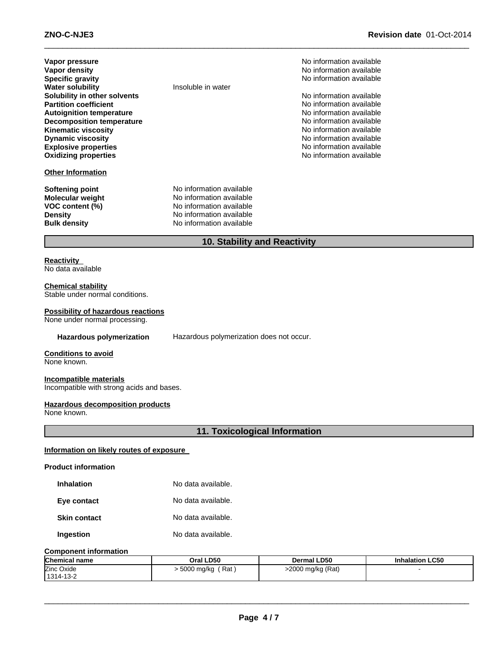**No information available No information available Specific gravity** No information available

**No information available No information available No information available No information available No information available** No information available

No information available **Oxidizing properties** No information available

| Vapor pressure                   |
|----------------------------------|
| <b>Vapor density</b>             |
| <b>Specific gravity</b>          |
| <b>Water solubility</b>          |
| Solubility in other solvents     |
| <b>Partition coefficient</b>     |
| <b>Autoignition temperature</b>  |
| <b>Decomposition temperature</b> |
| <b>Kinematic viscosity</b>       |
| <b>Dynamic viscosity</b>         |
| <b>Explosive properties</b>      |
| <b>Oxidizing properties</b>      |
|                                  |

# **Other Information**

**Insoluble in water** 

**Softening point** No information available **Molecular weight** No information available<br> **VOC content (%)** No information available **No information available Density** No information available **Bulk density** No information available

**10. Stability and Reactivity**

 $\_$  , and the set of the set of the set of the set of the set of the set of the set of the set of the set of the set of the set of the set of the set of the set of the set of the set of the set of the set of the set of th

# **Reactivity**

No data available

#### **Chemical stability**

Stable under normal conditions.

# **Possibility of hazardous reactions**

None under normal processing.

**Hazardous polymerization** Hazardous polymerization does not occur.

# **Conditions to avoid**

None known.

# **Incompatible materials**

Incompatible with strong acids and bases.

# **Hazardous decomposition products**

None known.

# **11. Toxicological Information**

# **Information on likely routes of exposure**

#### **Product information**

| <b>Inhalation</b> | No data available. |
|-------------------|--------------------|
|                   |                    |

**Eye contact** No data available.

**Skin contact** No data available.

**Ingestion** No data available.

#### **Component information**

| <b>Chemical name</b> | Oral LD50                   | Dermal LD50       | <b>Inhalation LC50</b> |
|----------------------|-----------------------------|-------------------|------------------------|
| Zinc Oxide           | . 5000 mg/kg<br>$'$ Rat $'$ | >2000 mg/kg (Rat) |                        |
| 1314-13-2            |                             |                   |                        |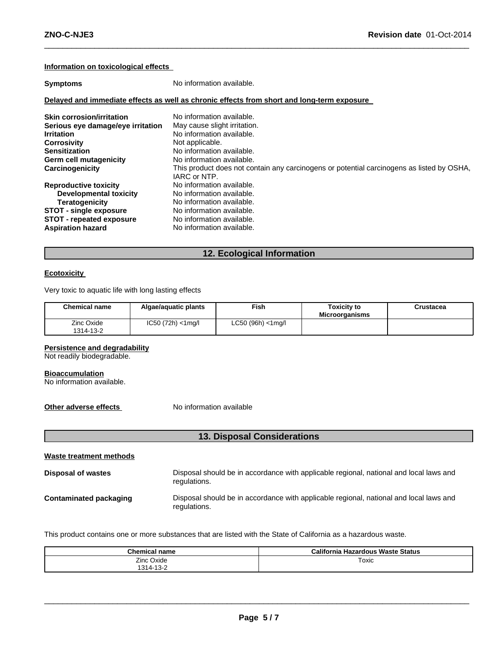# **Information on toxicological effects**

| <b>Symptoms</b>                   | No information available.                                                                                 |
|-----------------------------------|-----------------------------------------------------------------------------------------------------------|
|                                   | Delayed and immediate effects as well as chronic effects from short and long-term exposure                |
| <b>Skin corrosion/irritation</b>  | No information available.                                                                                 |
| Serious eye damage/eye irritation | May cause slight irritation.                                                                              |
| <b>Irritation</b>                 | No information available.                                                                                 |
| <b>Corrosivity</b>                | Not applicable.                                                                                           |
| <b>Sensitization</b>              | No information available.                                                                                 |
| Germ cell mutagenicity            | No information available.                                                                                 |
| Carcinogenicity                   | This product does not contain any carcinogens or potential carcinogens as listed by OSHA,<br>IARC or NTP. |
| <b>Reproductive toxicity</b>      | No information available.                                                                                 |
| <b>Developmental toxicity</b>     | No information available.                                                                                 |
| Teratogenicity                    | No information available.                                                                                 |
| <b>STOT - single exposure</b>     | No information available.                                                                                 |
| <b>STOT - repeated exposure</b>   | No information available.                                                                                 |
| <b>Aspiration hazard</b>          | No information available.                                                                                 |

 $\_$  , and the set of the set of the set of the set of the set of the set of the set of the set of the set of the set of the set of the set of the set of the set of the set of the set of the set of the set of the set of th

# **12. Ecological Information**

# **Ecotoxicity**

Very toxic to aquatic life with long lasting effects

| <b>Chemical name</b>    | Algae/aguatic plants  | Fish.                 | <b>Toxicity to</b><br><b>Microorganisms</b> | Crustacea |
|-------------------------|-----------------------|-----------------------|---------------------------------------------|-----------|
| Zinc Oxide<br>1314-13-2 | $IC50 (72h) < 1$ mg/l | $LC50 (96h) < 1$ mg/l |                                             |           |

# **Persistence and degradability**

Not readily biodegradable.

#### **Bioaccumulation**

No information available.

**Other adverse effects** No information available

# **13. Disposal Considerations**

| Waste treatment methods |                                                                                                        |  |  |  |
|-------------------------|--------------------------------------------------------------------------------------------------------|--|--|--|
| Disposal of wastes      | Disposal should be in accordance with applicable regional, national and local laws and<br>regulations. |  |  |  |
| Contaminated packaging  | Disposal should be in accordance with applicable regional, national and local laws and<br>regulations. |  |  |  |

This product contains one or more substances that are listed with the State of California as a hazardous waste.

| <b>Chemical name</b> | <b>California Hazardous Waste Status</b> |
|----------------------|------------------------------------------|
| Oxide<br>Zinc C      | Toxic                                    |
| 1314-13-2            |                                          |

 $\_$  ,  $\_$  ,  $\_$  ,  $\_$  ,  $\_$  ,  $\_$  ,  $\_$  ,  $\_$  ,  $\_$  ,  $\_$  ,  $\_$  ,  $\_$  ,  $\_$  ,  $\_$  ,  $\_$  ,  $\_$  ,  $\_$  ,  $\_$  ,  $\_$  ,  $\_$  ,  $\_$  ,  $\_$  ,  $\_$  ,  $\_$  ,  $\_$  ,  $\_$  ,  $\_$  ,  $\_$  ,  $\_$  ,  $\_$  ,  $\_$  ,  $\_$  ,  $\_$  ,  $\_$  ,  $\_$  ,  $\_$  ,  $\_$  ,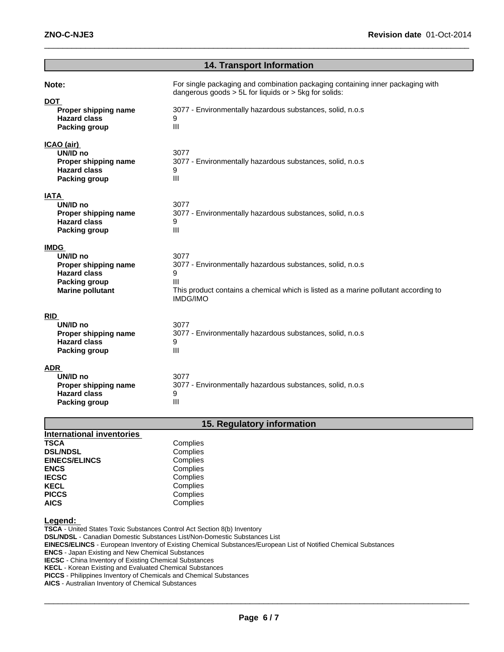| <b>14. Transport Information</b>                                                                                          |                                                                                                                                                                                                                    |  |  |
|---------------------------------------------------------------------------------------------------------------------------|--------------------------------------------------------------------------------------------------------------------------------------------------------------------------------------------------------------------|--|--|
| Note:<br><b>DOT</b><br>Proper shipping name<br><b>Hazard class</b><br><b>Packing group</b>                                | For single packaging and combination packaging containing inner packaging with<br>dangerous goods $> 5L$ for liquids or $> 5kg$ for solids:<br>3077 - Environmentally hazardous substances, solid, n.o.s<br>9<br>Ш |  |  |
| ICAO (air)<br>UN/ID no<br>Proper shipping name<br><b>Hazard class</b><br>Packing group                                    | 3077<br>3077 - Environmentally hazardous substances, solid, n.o.s<br>9<br>Ш                                                                                                                                        |  |  |
| <b>IATA</b><br>UN/ID no<br>Proper shipping name<br><b>Hazard class</b><br><b>Packing group</b>                            | 3077<br>3077 - Environmentally hazardous substances, solid, n.o.s<br>9<br>Ш                                                                                                                                        |  |  |
| <b>IMDG</b><br>UN/ID no<br>Proper shipping name<br><b>Hazard class</b><br><b>Packing group</b><br><b>Marine pollutant</b> | 3077<br>3077 - Environmentally hazardous substances, solid, n.o.s<br>9<br>Ш<br>This product contains a chemical which is listed as a marine pollutant according to<br><b>IMDG/IMO</b>                              |  |  |
| <b>RID</b><br>UN/ID no<br>Proper shipping name<br><b>Hazard class</b><br>Packing group                                    | 3077<br>3077 - Environmentally hazardous substances, solid, n.o.s<br>9<br>Ш                                                                                                                                        |  |  |
| <b>ADR</b><br>UN/ID no<br>Proper shipping name<br><b>Hazard class</b><br><b>Packing group</b>                             | 3077<br>3077 - Environmentally hazardous substances, solid, n.o.s<br>9<br>Ш                                                                                                                                        |  |  |

 $\_$  , and the set of the set of the set of the set of the set of the set of the set of the set of the set of the set of the set of the set of the set of the set of the set of the set of the set of the set of the set of th

# **15. Regulatory information**

| <b>International inventories</b> |          |
|----------------------------------|----------|
| <b>TSCA</b>                      | Complies |
| <b>DSL/NDSL</b>                  | Complies |
| <b>EINECS/ELINCS</b>             | Complies |
| <b>ENCS</b>                      | Complies |
| <b>IECSC</b>                     | Complies |
| <b>KECL</b>                      | Complies |
| <b>PICCS</b>                     | Complies |
| <b>AICS</b>                      | Complies |

# **Legend:**

**TSCA** - United States Toxic Substances Control Act Section 8(b) Inventory **DSL/NDSL** - Canadian Domestic Substances List/Non-Domestic Substances List **EINECS/ELINCS** - European Inventory of Existing Chemical Substances/European List of Notified Chemical Substances **ENCS** - Japan Existing and New Chemical Substances **IECSC** - China Inventory of Existing Chemical Substances

**KECL** - Korean Existing and Evaluated Chemical Substances

**PICCS** - Philippines Inventory of Chemicals and Chemical Substances

**AICS** - Australian Inventory of Chemical Substances

 $\_$  ,  $\_$  ,  $\_$  ,  $\_$  ,  $\_$  ,  $\_$  ,  $\_$  ,  $\_$  ,  $\_$  ,  $\_$  ,  $\_$  ,  $\_$  ,  $\_$  ,  $\_$  ,  $\_$  ,  $\_$  ,  $\_$  ,  $\_$  ,  $\_$  ,  $\_$  ,  $\_$  ,  $\_$  ,  $\_$  ,  $\_$  ,  $\_$  ,  $\_$  ,  $\_$  ,  $\_$  ,  $\_$  ,  $\_$  ,  $\_$  ,  $\_$  ,  $\_$  ,  $\_$  ,  $\_$  ,  $\_$  ,  $\_$  ,